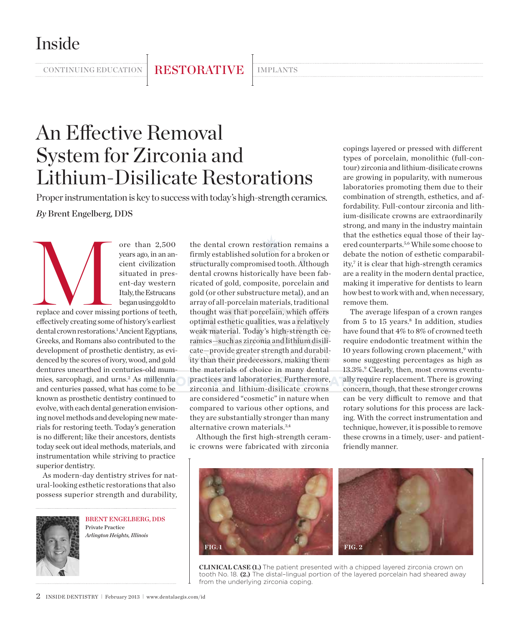Inside

continuing education | RESTORATIVE | IMPLANTS

# An Effective Removal System for Zirconia and Lithium-Disilicate Restorations

Proper instrumentation is key to success with today's high-strength ceramics.

years ago, in an ancient civilization

*By* Brent Engelberg, DDS

ore than 2,500<br>
years ago, in an an-<br>
cient civilization<br>
situated in present-day western<br>
Italy, the Estrucans<br>
began using gold to<br>
replace and cover missing portions of teeth,<br>
discussed by a constant of the structure o situated in present-day western Italy, the Estrucans began using gold to replace and cover missing portions of teeth, effectively creating some of history's earliest dental crown restorations.<sup>1</sup> Ancient Egyptians, Greeks, and Romans also contributed to the development of prosthetic dentistry, as evidenced by the scores of ivory, wood, and gold dentures unearthed in centuries-old mummies, sarcophagi, and urns.<sup>2</sup> As millennia and centuries passed, what has come to be known as prosthetic dentistry continued to evolve, with each dental generation envisioning novel methods and developing new materials for restoring teeth. Today's generation is no different; like their ancestors, dentists today seek out ideal methods, materials, and instrumentation while striving to practice superior dentistry.

As modern-day dentistry strives for natural-looking esthetic restorations that also possess superior strength and durability,



Brent Engelberg, DDS Private Practice *Arlington Heights, Illinois*

the dental crown restoration remains a firmly established solution for a broken or structurally compromised tooth. Although dental crowns historically have been fabricated of gold, composite, porcelain and gold (or other substructure metal), and an array of all-porcelain materials, traditional thought was that porcelain, which offers optimal esthetic qualities, was a relatively weak material. Today's high-strength ceramics—such as zirconia and lithium disilicate—provide greater strength and durability than their predecessors, making them the materials of choice in many dental practices and laboratories. Furthermore, zirconia and lithium-disilicate crowns are considered "cosmetic" in nature when compared to various other options, and they are substantially stronger than many alternative crown materials.3,4

Although the first high-strength ceramic crowns were fabricated with zirconia

copings layered or pressed with different types of porcelain, monolithic (full-contour) zirconia and lithium-disilicate crowns are growing in popularity, with numerous laboratories promoting them due to their combination of strength, esthetics, and affordability. Full-contour zirconia and lithium-disilicate crowns are extraordinarily strong, and many in the industry maintain that the esthetics equal those of their layered counterparts.5,6 While some choose to debate the notion of esthetic comparability,7 it is clear that high-strength ceramics are a reality in the modern dental practice, making it imperative for dentists to learn how best to work with and, when necessary, remove them.

The average lifespan of a crown ranges from 5 to 15 years.<sup>8</sup> In addition, studies have found that 4% to 8% of crowned teeth require endodontic treatment within the 10 years following crown placement,<sup>9</sup> with some suggesting percentages as high as 13.3%.<sup>9</sup> Clearly, then, most crowns eventually require replacement. There is growing concern, though, that these stronger crowns can be very difficult to remove and that rotary solutions for this process are lacking. With the correct instrumentation and technique, however, it is possible to remove these crowns in a timely, user- and patientfriendly manner.



**CLINICAL CASE (1.)** The patient presented with a chipped layered zirconia crown on tooth No. 18. **(2.)** The distal–lingual portion of the layered porcelain had sheared away from the underlying zirconia coping.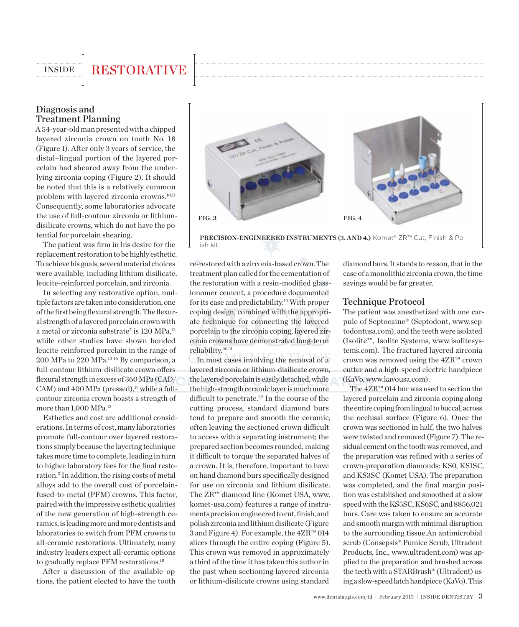## INSIDE RESTORATIVE

### Diagnosis and Treatment Planning

A 54-year-old man presented with a chipped layered zirconia crown on tooth No. 18 (Figure 1). After only 3 years of service, the distal–lingual portion of the layered porcelain had sheared away from the underlying zirconia coping (Figure 2). It should be noted that this is a relatively common problem with layered zirconia crowns.<sup>10,11</sup> Consequently, some laboratories advocate the use of full-contour zirconia or lithiumdisilicate crowns, which do not have the potential for porcelain shearing.

The patient was firm in his desire for the replacement restoration to be highly esthetic. To achieve his goals, several material choices were available, including lithium disilicate, leucite-reinforced porcelain, and zirconia.

In selecting any restorative option, multiple factors are taken into consideration, one of the first being flexural strength. The flexural strength of a layered porcelain crown with a metal or zirconia substrate<sup>7</sup> is 120 MPa,<sup>12</sup> while other studies have shown bonded leucite-reinforced porcelain in the range of 200 MPa to 220 MPa.13-16 By comparison, a full-contour lithium-disilicate crown offers flexural strength in excess of 360 MPa (CAD/ CAM) and 400 MPa (pressed), $17$  while a fullcontour zirconia crown boasts a strength of more than 1,000 MPa.12

Esthetics and cost are additional considerations. In terms of cost, many laboratories promote full-contour over layered restorations simply because the layering technique takes more time to complete, leading in turn to higher laboratory fees for the final restoration.<sup>5</sup> In addition, the rising costs of metal alloys add to the overall cost of porcelainfused-to-metal (PFM) crowns. This factor, paired with the impressive esthetic qualities of the new generation of high-strength ceramics, is leading more and more dentists and laboratories to switch from PFM crowns to all-ceramic restorations. Ultimately, many industry leaders expect all-ceramic options to gradually replace PFM restorations.<sup>18</sup>

After a discussion of the available options, the patient elected to have the tooth



**PRECISION-ENGINEERED INSTRUMENTS (3. and 4.)** Komet® ZR™ Cut, Finish & Polish kit.

re-restored with a zirconia-based crown. The treatment plan called for the cementation of the restoration with a resin-modified glassionomer cement, a procedure documented for its ease and predictability.19 With proper coping design, combined with the appropriate technique for connecting the layered porcelain to the zirconia coping, layered zirconia crowns have demonstrated long-term reliability.20,21

In most cases involving the removal of a layered zirconia or lithium-disilicate crown, the layered porcelain is easily detached, while the high-strength ceramic layer is much more difficult to penetrate.<sup>22</sup> In the course of the cutting process, standard diamond burs tend to prepare and smooth the ceramic, often leaving the sectioned crown difficult to access with a separating instrument; the prepared section becomes rounded, making it difficult to torque the separated halves of a crown. It is, therefore, important to have on hand diamond burs specifically designed for use on zirconia and lithium disilicate. The ZR™ diamond line (Komet USA, www. komet-usa.com) features a range of instruments precision engineered to cut, finish, and polish zirconia and lithium disilicate (Figure 3 and Figure 4). For example, the 4ZR™ 014 slices through the entire coping (Figure 5). This crown was removed in approximately a third of the time it has taken this author in the past when sectioning layered zirconia or lithium-disilicate crowns using standard

diamond burs. It stands to reason, that in the case of a monolithic zirconia crown, the time savings would be far greater.

#### Technique Protocol

The patient was anesthetized with one carpule of Septocaine® (Septodont, www.septodontusa.com), and the teeth were isolated (Isolite™, Isolite Systems, www.isolitesystems.com). The fractured layered zirconia crown was removed using the 4ZR™ crown cutter and a high-speed electric handpiece (KaVo, www.kavousa.com).

The 4ZR™ 014 bur was used to section the layered porcelain and zirconia coping along the entire coping from lingual to buccal, across the occlusal surface (Figure 6). Once the crown was sectioned in half, the two halves were twisted and removed (Figure 7). The residual cement on the tooth was removed, and the preparation was refined with a series of crown-preparation diamonds: KS0, KS1SC, and KS3SC (Komet USA). The preparation was completed, and the final margin position was established and smoothed at a slow speed with the KS5SC, KS6SC, and 8856.021 burs. Care was taken to ensure an accurate and smooth margin with minimal disruption to the surrounding tissue.An antimicrobial scrub (Consepsis® Pumice Scrub, Ultradent Products, Inc., www.ultradent.com) was applied to the preparation and brushed across the teeth with a STARBrush® (Ultradent) using a slow-speed latch handpiece (KaVo). This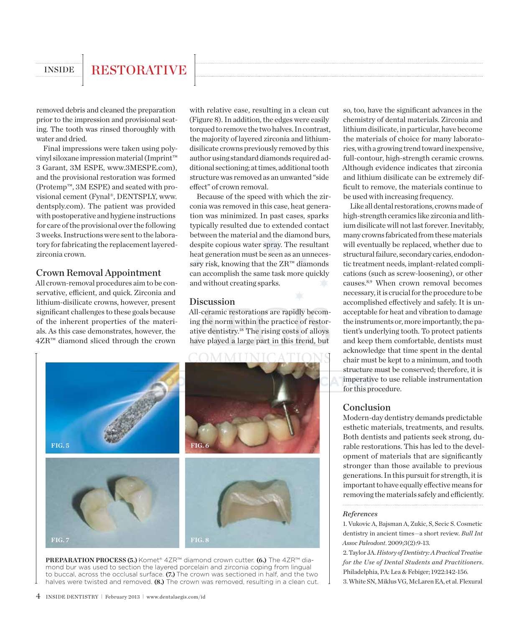## INSIDE RESTORATIVE

removed debris and cleaned the preparation prior to the impression and provisional seating. The tooth was rinsed thoroughly with water and dried.

Final impressions were taken using polyvinyl siloxane impression material (Imprint™ 3 Garant, 3M ESPE, www.3MESPE.com), and the provisional restoration was formed (Protemp™, 3M ESPE) and seated with provisional cement (Fynal®, DENTSPLY, www. dentsply.com). The patient was provided with postoperative and hygiene instructions for care of the provisional over the following 3 weeks. Instructions were sent to the laboratory for fabricating the replacement layeredzirconia crown.

#### Crown Removal Appointment

All crown-removal procedures aim to be conservative, efficient, and quick. Zirconia and lithium-disilicate crowns, however, present significant challenges to these goals because of the inherent properties of the materials. As this case demonstrates, however, the 4ZR™ diamond sliced through the crown

with relative ease, resulting in a clean cut (Figure 8). In addition, the edges were easily torqued to remove the two halves. In contrast, the majority of layered zirconia and lithiumdisilicate crowns previously removed by this author using standard diamonds required additional sectioning; at times, additional tooth structure was removed as an unwanted "side effect" of crown removal.

Because of the speed with which the zirconia was removed in this case, heat generation was minimized. In past cases, sparks typically resulted due to extended contact between the material and the diamond burs, despite copious water spray. The resultant heat generation must be seen as an unnecessary risk, knowing that the ZR™ diamonds can accomplish the same task more quickly and without creating sparks.

#### Discussion

All-ceramic restorations are rapidly becoming the norm within the practice of restorative dentistry.18 The rising costs of alloys have played a large part in this trend, but



**PREPARATION PROCESS (5.)** Komet® 4ZR™ diamond crown cutter. **(6.)** The 4ZR™ diamond bur was used to section the layered porcelain and zirconia coping from lingual to buccal, across the occlusal surface. **(7.)** The crown was sectioned in half, and the two halves were twisted and removed. **(8.)** The crown was removed, resulting in a clean cut.

so, too, have the significant advances in the chemistry of dental materials. Zirconia and lithium disilicate, in particular, have become the materials of choice for many laboratories, with a growing trend toward inexpensive, full-contour, high-strength ceramic crowns. Although evidence indicates that zirconia and lithium disilicate can be extremely difficult to remove, the materials continue to be used with increasing frequency.

Like all dental restorations, crowns made of high-strength ceramics like zirconia and lithium disilicate will not last forever. Inevitably, many crowns fabricated from these materials will eventually be replaced, whether due to structural failure, secondary caries, endodontic treatment needs, implant-related complications (such as screw-loosening), or other causes.8,9 When crown removal becomes necessary, it is crucial for the procedure to be accomplished effectively and safely. It is unacceptable for heat and vibration to damage the instruments or, more importantly, the patient's underlying tooth. To protect patients and keep them comfortable, dentists must acknowledge that time spent in the dental chair must be kept to a minimum, and tooth structure must be conserved; therefore, it is imperative to use reliable instrumentation for this procedure.

#### Conclusion

Modern-day dentistry demands predictable esthetic materials, treatments, and results. Both dentists and patients seek strong, durable restorations. This has led to the development of materials that are significantly stronger than those available to previous generations. In this pursuit for strength, it is important to have equally effective means for removing the materials safely and efficiently.

#### *References*

1. Vukovic A, Bajsman A, Zukic, S, Secic S. Cosmetic dentistry in ancient times—a short review. *Bull Int Assoc Paleodont*. 2009;3(2):9-13.

2. Taylor JA. *History of Dentistry: A Practical Treatise for the Use of Dental Students and Practitioners*. Philadelphia, PA: Lea & Febiger; 1922:142-156. 3. White SN, Miklus VG, McLaren EA, et al. Flexural